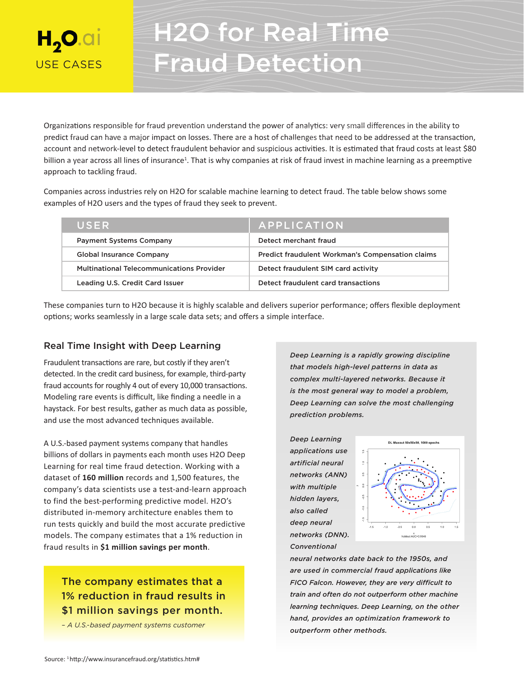# $H_{2}$ O.ai USE CASES

# H2O for Real Time Fraud Detection

Organizations responsible for fraud prevention understand the power of analytics: very small differences in the ability to predict fraud can have a major impact on losses. There are a host of challenges that need to be addressed at the transaction, account and network-level to detect fraudulent behavior and suspicious activities. It is estimated that fraud costs at least \$80 billion a year across all lines of insurance<sup>1</sup>. That is why companies at risk of fraud invest in machine learning as a preemptive approach to tackling fraud.

Companies across industries rely on H2O for scalable machine learning to detect fraud. The table below shows some examples of H2O users and the types of fraud they seek to prevent.

| USER                                             | APPLICATION                                             |
|--------------------------------------------------|---------------------------------------------------------|
| <b>Payment Systems Company</b>                   | Detect merchant fraud                                   |
| <b>Global Insurance Company</b>                  | <b>Predict fraudulent Workman's Compensation claims</b> |
| <b>Multinational Telecommunications Provider</b> | Detect fraudulent SIM card activity                     |
| Leading U.S. Credit Card Issuer                  | Detect fraudulent card transactions                     |

These companies turn to H2O because it is highly scalable and delivers superior performance; offers flexible deployment options; works seamlessly in a large scale data sets; and offers a simple interface.

# Real Time Insight with Deep Learning

Fraudulent transactions are rare, but costly if they aren't detected. In the credit card business, for example, third-party fraud accounts for roughly 4 out of every 10,000 transactions. Modeling rare events is difficult, like finding a needle in a haystack. For best results, gather as much data as possible, and use the most advanced techniques available.

A U.S.-based payment systems company that handles billions of dollars in payments each month uses H2O Deep Learning for real time fraud detection. Working with a dataset of **160 million** records and 1,500 features, the company's data scientists use a test-and-learn approach to find the best-performing predictive model. H2O's distributed in-memory architecture enables them to run tests quickly and build the most accurate predictive models. The company estimates that a 1% reduction in fraud results in **\$1 million savings per month**.

# The company estimates that a 1% reduction in fraud results in \$1 million savings per month.

*– A U.S.-based payment systems customer*

*Deep Learning is a rapidly growing discipline that models high-level patterns in data as complex multi-layered networks. Because it is the most general way to model a problem, Deep Learning can solve the most challenging prediction problems.*

*Deep Learning applications use artificial neural networks (ANN) with multiple hidden layers, also called deep neural networks (DNN). Conventional* 



*neural networks date back to the 1950s, and are used in commercial fraud applications like FICO Falcon. However, they are very difficult to train and often do not outperform other machine learning techniques. Deep Learning, on the other hand, provides an optimization framework to outperform other methods.*